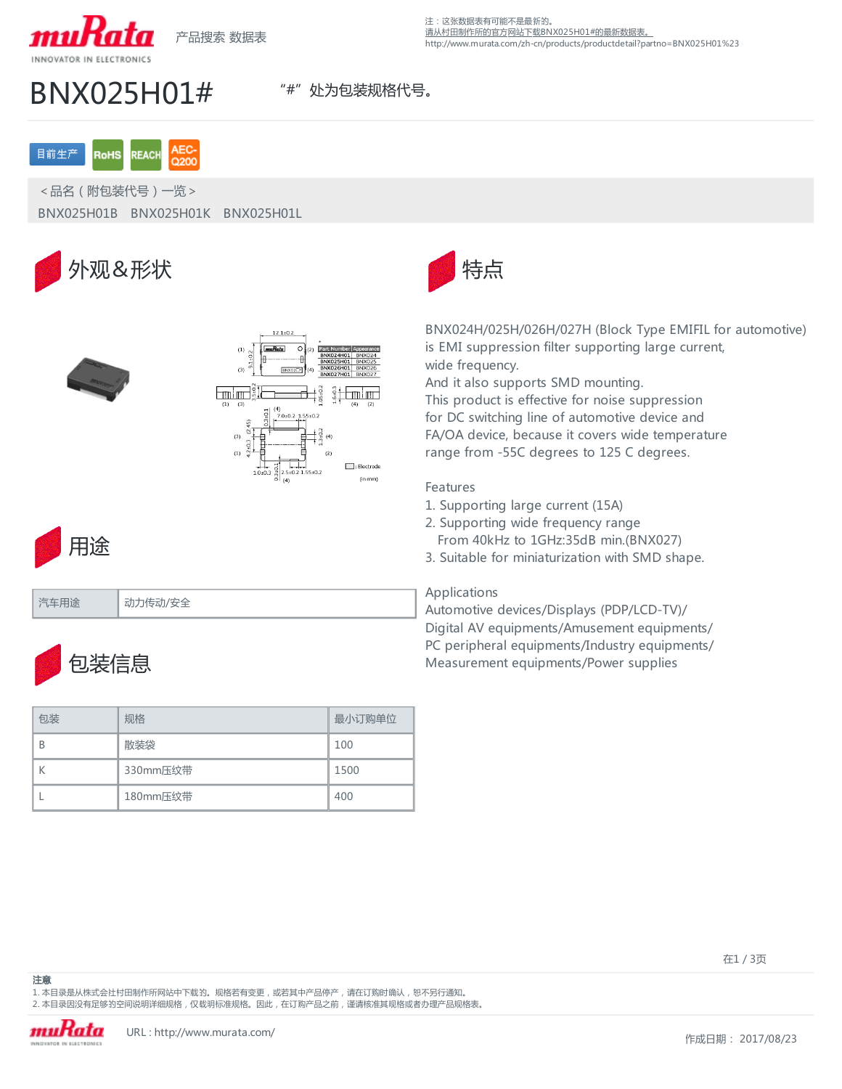

产品搜索 数据表

注:这张数据表有可能不是最新的。 [请从村田制作所的官方网站下载BNX025H01#的最新数据表。](http://www.murata.com/zh-cn/products/productdetail?partno=BNX025H01%23) http://www.murata.com/zh-cn/products/productdetail?partno=BNX025H01%23

# BNX025H01# **"#" 处为包装规格代号**。

### **AFC** 目前生产 **RoHS REACH**

<品名(附包装代号)一览> BNX025H01B BNX025H01K BNX025H01L







汽车用途 动力传动/安全



BNX024H/025H/026H/027H (Block Type EMIFIL for automotive) is EMI suppression filter supporting large current, wide frequency. And it also supports SMD mounting.

This product is effective for noise suppression for DC switching line of automotive device and FA/OA device, because it covers wide temperature range from -55C degrees to 125 C degrees.

## Features

- 1. Supporting large current (15A)
- 2. Supporting wide frequency range
- From 40kHz to 1GHz:35dB min.(BNX027)
- 3. Suitable for miniaturization with SMD shape.

## Applications

Automotive devices/Displays (PDP/LCD-TV)/ Digital AV equipments/Amusement equipments/ PC peripheral equipments/Industry equipments/ Measurement equipments/Power supplies



| 包装 | 规格       | 最小订购单位 |
|----|----------|--------|
| B  | 散装袋      | 100    |
|    | 330mm压纹带 | 1500   |
|    | 180mm压纹带 | 400    |

1. 本目录是从株式会社村田制作所网站中下载的。规格若有变更, 或若其中产品停产, 请在订购时确认, 恕不另行通知。 2. 本目录因没有足够的空间说明详细规格,仅载明标准规格。因此,在订购产品之前,谨请核准其规格或者办理产品规格表。

注意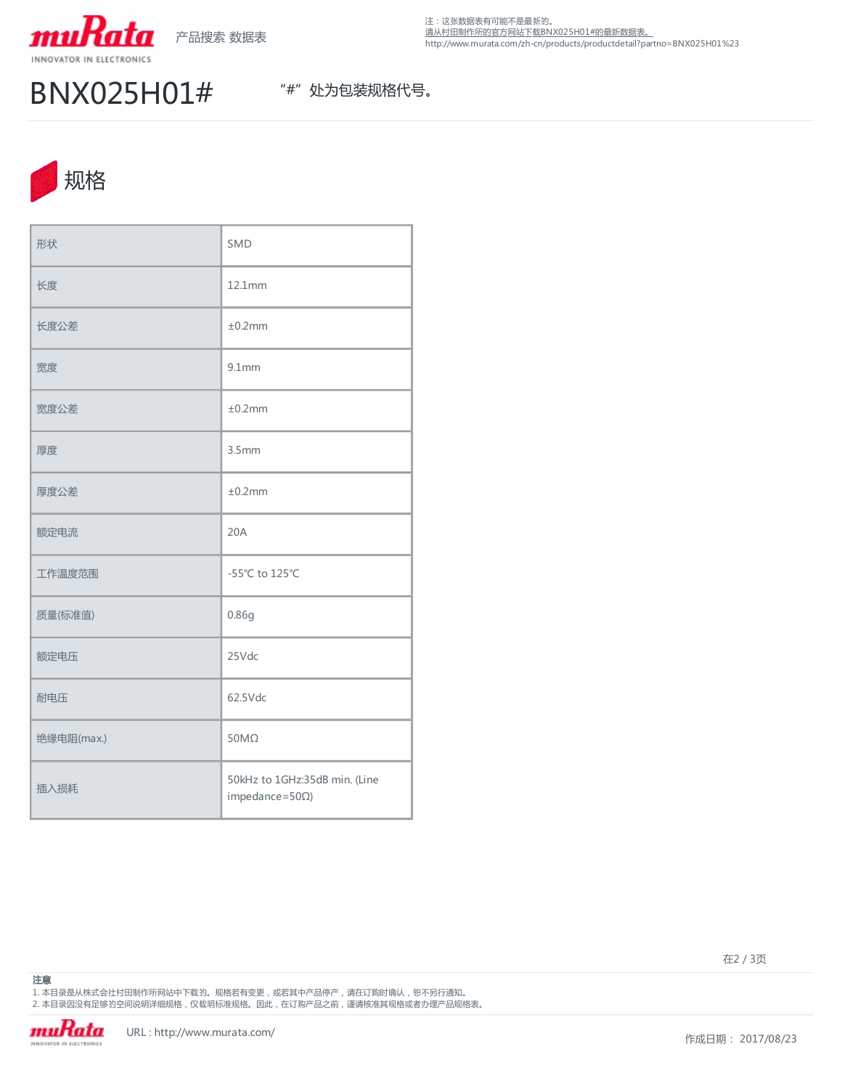

## BNX025H01# **"#" 处为包装规格代号**。



| 形状         | SMD                                                      |
|------------|----------------------------------------------------------|
| 长度         | 12.1mm                                                   |
| 长度公差       | ±0.2mm                                                   |
| 宽度         | $9.1$ mm                                                 |
| 宽度公差       | ±0.2mm                                                   |
| 厚度         | 3.5 <sub>mm</sub>                                        |
| 厚度公差       | ±0.2mm                                                   |
| 额定电流       | 20A                                                      |
| 工作温度范围     | -55°C to 125°C                                           |
| 质量(标准值)    | 0.86g                                                    |
| 额定电压       | 25Vdc                                                    |
| 耐电压        | 62.5Vdc                                                  |
| 绝缘电阻(max.) | $50M\Omega$                                              |
| 插入损耗       | 50kHz to 1GHz:35dB min. (Line<br>impedance= $50\Omega$ ) |

在2 / 3页

1. 本目录是从株式会社村田制作所网站中下载的。规格若有变更,或若其中产品停产,请在订购时确认,恕不另行通知。 2. 本目录因没有足够的空间说明详细规格 , 仅载明标准规格。因此 , 在订购产品之前 , 谨请核准其规格或者办理产品规格表。

注意